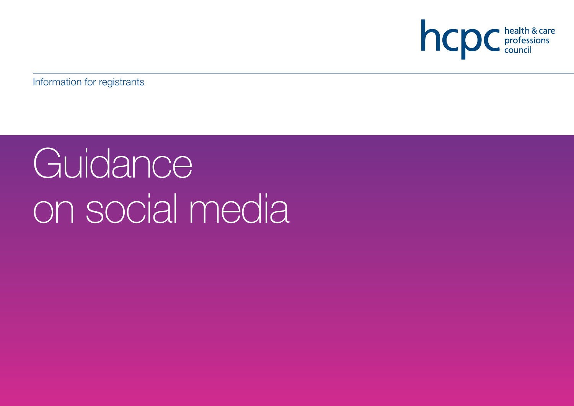

Information for registrants

# **Guidance** on social media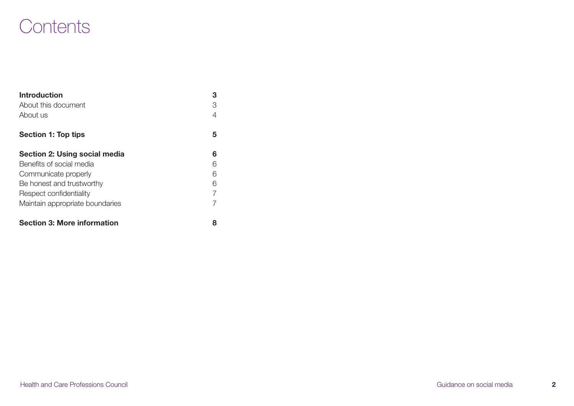### **Contents**

| <b>Introduction</b>                | 3 |
|------------------------------------|---|
| About this document                | З |
| About us                           | 4 |
| Section 1: Top tips                | 5 |
| Section 2: Using social media      | 6 |
| Benefits of social media           | 6 |
| Communicate properly               | 6 |
| Be honest and trustworthy          | 6 |
| Respect confidentiality            |   |
| Maintain appropriate boundaries    |   |
| <b>Section 3: More information</b> | 8 |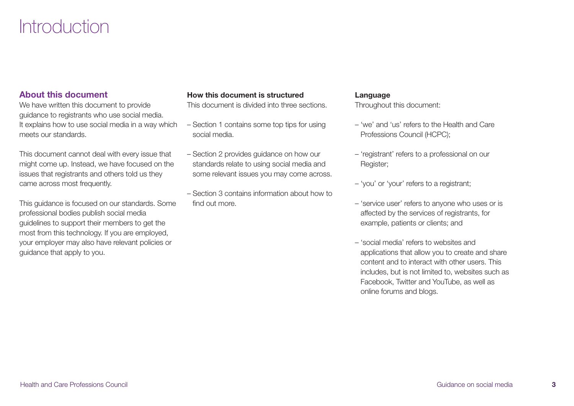### **Introduction**

### **About this document**

We have written this document to provide guidance to registrants who use social media. It explains how to use social media in a way which meets our standards.

This document cannot deal with every issue that might come up. Instead, we have focused on the issues that registrants and others told us they came across most frequently.

This guidance is focused on our standards. Some professional bodies publish social media guidelines to support their members to get the most from this technology. If you are employed, your employer may also have relevant policies or guidance that apply to you.

### **How this document is structured**

This document is divided into three sections.

- Section 1 contains some top tips for using social media.
- Section 2 provides guidance on how our standards relate to using social media and some relevant issues you may come across.
- Section 3 contains information about how to find out more.

#### **Language**

Throughout this document:

- 'we' and 'us' refers to the Health and Care Professions Council (HCPC);
- 'registrant' refers to a professional on our Register;
- 'you' or 'your' refers to a registrant;
- 'service user' refers to anyone who uses or is affected by the services of registrants, for example, patients or clients; and
- 'social media' refers to websites and applications that allow you to create and share content and to interact with other users. This includes, but is not limited to, websites such as Facebook, Twitter and YouTube, as well as online forums and blogs.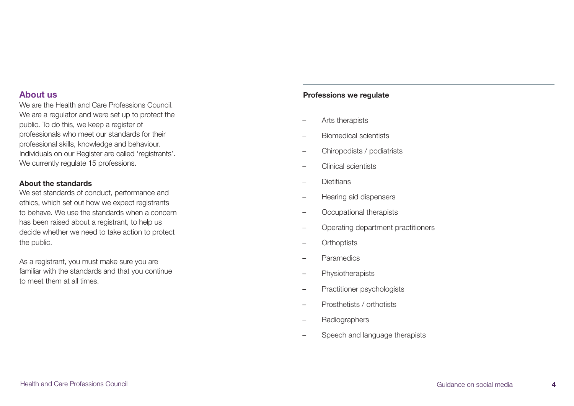### **About us**

We are the Health and Care Professions Council. We are a regulator and were set up to protect the public. To do this, we keep a register of professionals who meet our standards for their professional skills, knowledge and behaviour. Individuals on our Register are called 'registrants'. We currently regulate 15 professions.

#### **About the standards**

We set standards of conduct, performance and ethics, which set out how we expect registrants to behave. We use the standards when a concern has been raised about a registrant, to help us decide whether we need to take action to protect the public.

As a registrant, you must make sure you are familiar with the standards and that you continue to meet them at all times.

### **Professions we regulate**

- Arts therapists
- Biomedical scientists
- Chiropodists / podiatrists
- Clinical scientists
- Dietitians
- Hearing aid dispensers
- Occupational therapists
- Operating department practitioners
- Orthoptists
- Paramedics
- Physiotherapists
- Practitioner psychologists
- Prosthetists / orthotists
- Radiographers
- Speech and language therapists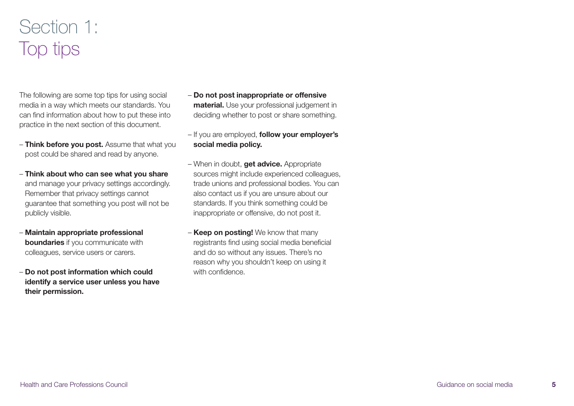# Section 1: Top tips

The following are some top tips for using social media in a way which meets our standards. You can find information about how to put these into practice in the next section of this document.

- **Think before you post.** Assume that what you post could be shared and read by anyone.
- **Think about who can see what you share** and manage your privacy settings accordingly. Remember that privacy settings cannot guarantee that something you post will not be publicly visible.
- **Maintain appropriate professional boundaries** if you communicate with colleagues, service users or carers.
- **Do not post information which could identify a service user unless you have their permission.**
- **Do not post inappropriate or offensive material.** Use your professional judgement in deciding whether to post or share something.
- If you are employed, **follow your employer's social media policy.**
- When in doubt, **get advice.** Appropriate sources might include experienced colleagues, trade unions and professional bodies. You can also contact us if you are unsure about our standards. If you think something could be inappropriate or offensive, do not post it.
- **Keep on posting!** We know that many registrants find using social media beneficial and do so without any issues. There's no reason why you shouldn't keep on using it with confidence.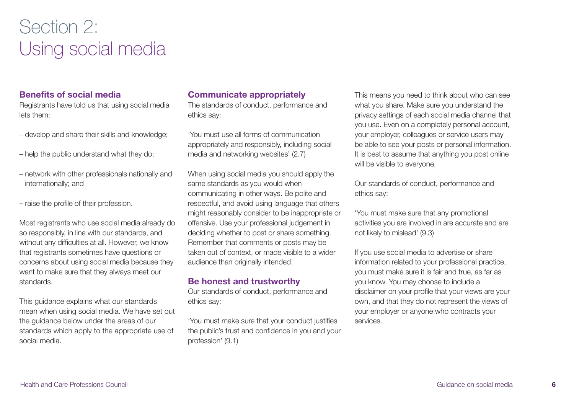## Section 2: Using social media

### **Benefits of social media**

Registrants have told us that using social media lets them:

- develop and share their skills and knowledge;
- help the public understand what they do;
- network with other professionals nationally and internationally; and
- raise the profile of their profession.

Most registrants who use social media already do so responsibly, in line with our standards, and without any difficulties at all. However, we know that registrants sometimes have questions or concerns about using social media because they want to make sure that they always meet our standards.

This guidance explains what our standards mean when using social media. We have set out the guidance below under the areas of our standards which apply to the appropriate use of social media.

### **Communicate appropriately**

The standards of conduct, performance and ethics say:

'You must use all forms of communication appropriately and responsibly, including social media and networking websites' (2.7)

When using social media you should apply the same standards as you would when communicating in other ways. Be polite and respectful, and avoid using language that others might reasonably consider to be inappropriate or offensive. Use your professional judgement in deciding whether to post or share something. Remember that comments or posts may be taken out of context, or made visible to a wider audience than originally intended.

### **Be honest and trustworthy**

Our standards of conduct, performance and ethics say:

'You must make sure that your conduct justifies the public's trust and confidence in you and your profession' (9.1)

This means you need to think about who can see what you share. Make sure you understand the privacy settings of each social media channel that you use. Even on a completely personal account, your employer, colleagues or service users may be able to see your posts or personal information. It is best to assume that anything you post online will be visible to everyone.

Our standards of conduct, performance and ethics say:

'You must make sure that any promotional activities you are involved in are accurate and are not likely to mislead' (9.3)

If you use social media to advertise or share information related to your professional practice, you must make sure it is fair and true, as far as you know. You may choose to include a disclaimer on your profile that your views are your own, and that they do not represent the views of your employer or anyone who contracts your services.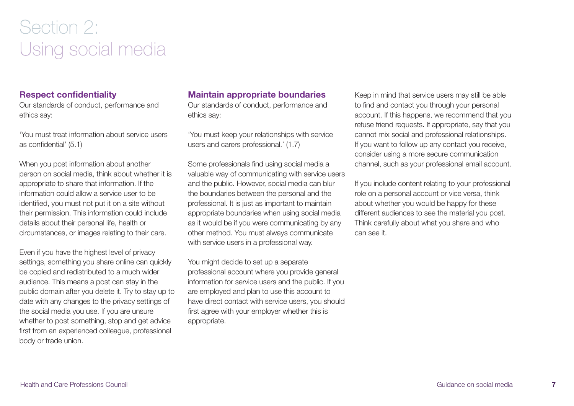## Section 2: Using social media

### **Respect confidentiality**

Our standards of conduct, performance and ethics say:

'You must treat information about service users as confidential' (5.1)

When you post information about another person on social media, think about whether it is appropriate to share that information. If the information could allow a service user to be identified, you must not put it on a site without their permission. This information could include details about their personal life, health or circumstances, or images relating to their care.

Even if you have the highest level of privacy settings, something you share online can quickly be copied and redistributed to a much wider audience. This means a post can stay in the public domain after you delete it. Try to stay up to date with any changes to the privacy settings of the social media you use. If you are unsure whether to post something, stop and get advice first from an experienced colleague, professional body or trade union.

### **Maintain appropriate boundaries**

Our standards of conduct, performance and ethics say:

'You must keep your relationships with service users and carers professional.' (1.7)

Some professionals find using social media a valuable way of communicating with service users and the public. However, social media can blur the boundaries between the personal and the professional. It is just as important to maintain appropriate boundaries when using social media as it would be if you were communicating by any other method. You must always communicate with service users in a professional way.

You might decide to set up a separate professional account where you provide general information for service users and the public. If you are employed and plan to use this account to have direct contact with service users, you should first agree with your employer whether this is appropriate.

Keep in mind that service users may still be able to find and contact you through your personal account. If this happens, we recommend that you refuse friend requests. If appropriate, say that you cannot mix social and professional relationships. If you want to follow up any contact you receive, consider using a more secure communication channel, such as your professional email account.

If you include content relating to your professional role on a personal account or vice versa, think about whether you would be happy for these different audiences to see the material you post. Think carefully about what you share and who can see it.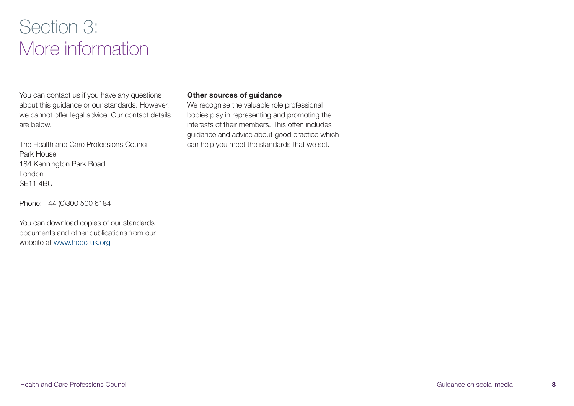## Section 3: More information

You can contact us if you have any questions about this guidance or our standards. However, we cannot offer legal advice. Our contact details are below.

The Health and Care Professions Council Park House 184 Kennington Park Road London SE<sub>11</sub> 4<sub>RU</sub>

Phone: +44 (0)300 500 6184

You can download copies of our standards documents and other publications from our website at www.hcpc-uk.org

#### **Other sources of guidance**

We recognise the valuable role professional bodies play in representing and promoting the interests of their members. This often includes guidance and advice about good practice which can help you meet the standards that we set.